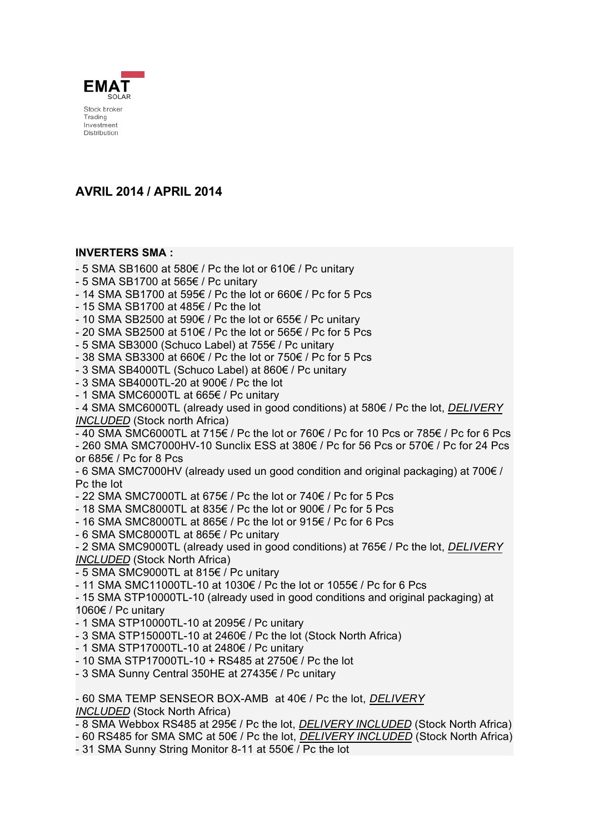

# **AVRIL 2014 / APRIL 2014**

#### **INVERTERS SMA :**

- 5 SMA SB1600 at 580 $\epsilon$  / Pc the lot or 610 $\epsilon$  / Pc unitary
- $-5$  SMA SB1700 at 565 $\in$  / Pc unitary
- 14 SMA SB1700 at 595 $\epsilon$  / Pc the lot or 660 $\epsilon$  / Pc for 5 Pcs
- $-$  15 SMA SB1700 at 485 $\in$  / Pc the lot
- 10 SMA SB2500 at 590 $\varepsilon$  / Pc the lot or 655 $\varepsilon$  / Pc unitary
- 20 SMA SB2500 at 510 $\epsilon$  / Pc the lot or 565 $\epsilon$  / Pc for 5 Pcs
- $-5$  SMA SB3000 (Schuco Label) at 755 $\epsilon$  / Pc unitary
- 38 SMA SB3300 at 660 $\epsilon$  / Pc the lot or 750 $\epsilon$  / Pc for 5 Pcs

 $-3$  SMA SB4000TL (Schuco Label) at 860 $\epsilon$  / Pc unitary

 $-3$  SMA SB4000TL-20 at 900 $\in$  / Pc the lot

- 1 SMA SMC6000TL at  $665 \in /$  Pc unitary

- 4 SMA SMC6000TL (already used in good conditions) at 580€ / Pc the lot, *DELIVERY INCLUDED* (Stock north Africa)

- 40 SMA SMC6000TL at 715 $\epsilon$  / Pc the lot or 760 $\epsilon$  / Pc for 10 Pcs or 785 $\epsilon$  / Pc for 6 Pcs  $-260$  SMA SMC7000HV-10 Sunclix ESS at 380 $\in$  / Pc for 56 Pcs or 570 $\in$  / Pc for 24 Pcs or 685 $\epsilon$  / Pc for 8 Pcs

- 6 SMA SMC7000HV (already used un good condition and original packaging) at 700 $\epsilon$  / Pc the lot

- 22 SMA SMC7000TL at 675 $\epsilon$  / Pc the lot or 740 $\epsilon$  / Pc for 5 Pcs

- 18 SMA SMC8000TL at 835 $\epsilon$  / Pc the lot or 900 $\epsilon$  / Pc for 5 Pcs

- 16 SMA SMC8000TL at 865 $\epsilon$  / Pc the lot or 915 $\epsilon$  / Pc for 6 Pcs

 $-6$  SMA SMC8000TL at 865 $\epsilon$  / Pc unitary

- 2 SMA SMC9000TL (already used in good conditions) at 765€ / Pc the lot, *DELIVERY INCLUDED* (Stock North Africa)

 $-5$  SMA SMC9000TL at 815 $\epsilon$  / Pc unitary

- 11 SMA SMC11000TL-10 at 1030 $\varepsilon$  / Pc the lot or 1055 $\varepsilon$  / Pc for 6 Pcs

- 15 SMA STP10000TL-10 (already used in good conditions and original packaging) at 1060€ / Pc unitary

- 1 SMA STP10000TL-10 at 2095 $\varepsilon$  / Pc unitary
- $-3$  SMA STP15000TL-10 at 2460 $\in$  / Pc the lot (Stock North Africa)
- 1 SMA STP17000TL-10 at 2480 $\varepsilon$  / Pc unitary
- $-$  10 SMA STP17000TL-10 + RS485 at 2750 $\in$  / Pc the lot
- 3 SMA Sunny Central 350HE at 27435 $\epsilon$  / Pc unitary

- 60 SMA TEMP SENSEOR BOX-AMB at 40€ / Pc the lot, *DELIVERY INCLUDED* (Stock North Africa)

- 8 SMA Webbox RS485 at 295€ / Pc the lot, *DELIVERY INCLUDED* (Stock North Africa)
- 60 RS485 for SMA SMC at 50€ / Pc the lot, *DELIVERY INCLUDED* (Stock North Africa)

- 31 SMA Sunny String Monitor 8-11 at  $550 \in /$  Pc the lot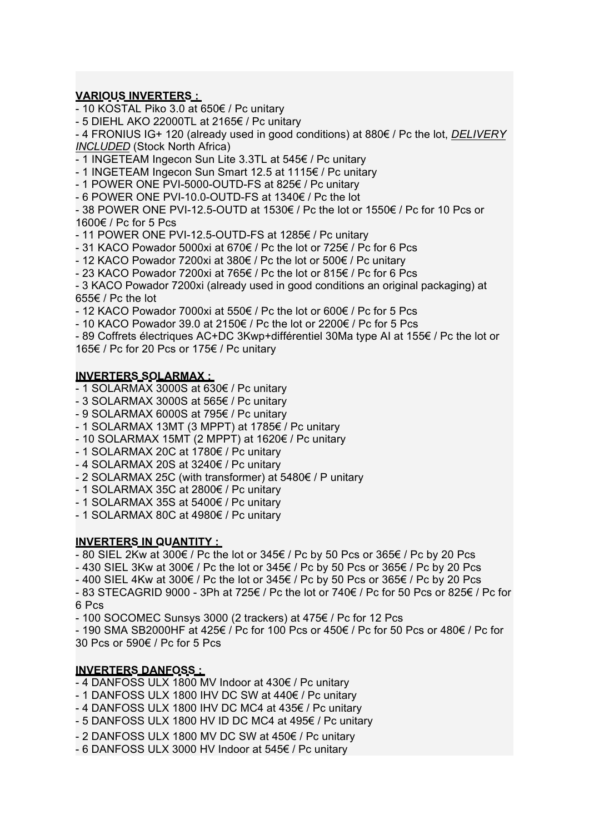## **VARIOUS INVERTERS :**

- 10 KOSTAL Piko 3.0 at 650 $\epsilon$  / Pc unitary

 $-5$  DIEHL AKO 22000TL at 2165 $\epsilon$  / Pc unitary

- 4 FRONIUS IG+ 120 (already used in good conditions) at 880€ / Pc the lot, *DELIVERY INCLUDED* (Stock North Africa)

- 1 INGETEAM Ingecon Sun Lite 3.3TL at  $545 \in /$  Pc unitary

- 1 INGETEAM Ingecon Sun Smart 12.5 at 1115 $\epsilon$  / Pc unitary

- 1 POWER ONE PVI-5000-OUTD-FS at 825 $\epsilon$  / Pc unitary

 $-6$  POWER ONE PVI-10.0-OUTD-FS at 1340 $\epsilon$  / Pc the lot

- 38 POWER ONE PVI-12.5-OUTD at 1530 $\epsilon$  / Pc the lot or 1550 $\epsilon$  / Pc for 10 Pcs or 1600€ / Pc for 5 Pcs

- 11 POWER ONE PVI-12.5-OUTD-FS at 1285 $\varepsilon$  / Pc unitary

- 31 KACO Powador 5000xi at 670 $\epsilon$  / Pc the lot or 725 $\epsilon$  / Pc for 6 Pcs

- 12 KACO Powador 7200xi at 380 $\epsilon$  / Pc the lot or 500 $\epsilon$  / Pc unitary

- 23 KACO Powador 7200xi at 765 $\epsilon$  / Pc the lot or 815 $\epsilon$  / Pc for 6 Pcs

- 3 KACO Powador 7200xi (already used in good conditions an original packaging) at 655 $\epsilon$  / Pc the lot

- 12 KACO Powador 7000xi at 550 $\epsilon$  / Pc the lot or 600 $\epsilon$  / Pc for 5 Pcs

- 10 KACO Powador 39.0 at 2150 $\epsilon$  / Pc the lot or 2200 $\epsilon$  / Pc for 5 Pcs

- 89 Coffrets électriques AC+DC 3Kwp+différentiel 30Ma type AI at 155 $\epsilon$  / Pc the lot or 165€ / Pc for 20 Pcs or 175€ / Pc unitary

#### **INVERTERS SOLARMAX :**

- $-1$  SOLARMAX 3000S at 630 $\epsilon$  / Pc unitary
- 3 SOLARMAX 3000S at  $565 \in /$  Pc unitary
- $-9$  SOLARMAX 6000S at 795 $\epsilon$  / Pc unitary
- 1 SOLARMAX 13MT (3 MPPT) at 1785 $\epsilon$  / Pc unitary
- 10 SOLARMAX 15MT (2 MPPT) at 1620 $\varepsilon$  / Pc unitary
- $-1$  SOLARMAX 20C at 1780 $\in$  / Pc unitary
- $-4$  SOLARMAX 20S at 3240 $\in$  / Pc unitary
- 2 SOLARMAX 25C (with transformer) at  $5480 \in /P$  unitary
- 1 SOLARMAX 35C at 2800 $\epsilon$  / Pc unitary
- $-1$  SOLARMAX 35S at 5400 $\epsilon$  / Pc unitary
- 1 SOLARMAX 80C at  $4980 \in /$  Pc unitary

#### **INVERTERS IN QUANTITY :**

 $-$  80 SIEL 2Kw at 300 $\epsilon$  / Pc the lot or 345 $\epsilon$  / Pc by 50 Pcs or 365 $\epsilon$  / Pc by 20 Pcs

- 430 SIEL 3Kw at 300 $\epsilon$  / Pc the lot or 345 $\epsilon$  / Pc by 50 Pcs or 365 $\epsilon$  / Pc by 20 Pcs

- 400 SIEL 4Kw at 300 $\epsilon$  / Pc the lot or 345 $\epsilon$  / Pc by 50 Pcs or 365 $\epsilon$  / Pc by 20 Pcs

 $-83$  STECAGRID 9000  $-3$ Ph at 725  $\epsilon$  / Pc the lot or 740  $\epsilon$  / Pc for 50 Pcs or 825  $\epsilon$  / Pc for 6 Pcs

- 100 SOCOMEC Sunsys 3000 (2 trackers) at  $475 \in I$  Pc for 12 Pcs

- 190 SMA SB2000HF at 425 $\in$  / Pc for 100 Pcs or 450 $\in$  / Pc for 50 Pcs or 480 $\in$  / Pc for 30 Pcs or  $590 \in I$  Pc for 5 Pcs

#### **INVERTERS DANFOSS :**

- 4 DANFOSS ULX 1800 MV Indoor at  $430 \epsilon$  / Pc unitary

 $-1$  DANFOSS ULX 1800 IHV DC SW at 440 $\epsilon$  / Pc unitary

- 4 DANFOSS ULX 1800 IHV DC MC4 at  $435 \in /$  Pc unitary

- 5 DANFOSS ULX 1800 HV ID DC MC4 at  $495 \in /$  Pc unitary

 $-$  2 DANFOSS ULX 1800 MV DC SW at 450 $\epsilon$  / Pc unitary

- 6 DANFOSS ULX 3000 HV Indoor at  $545 \epsilon$  / Pc unitary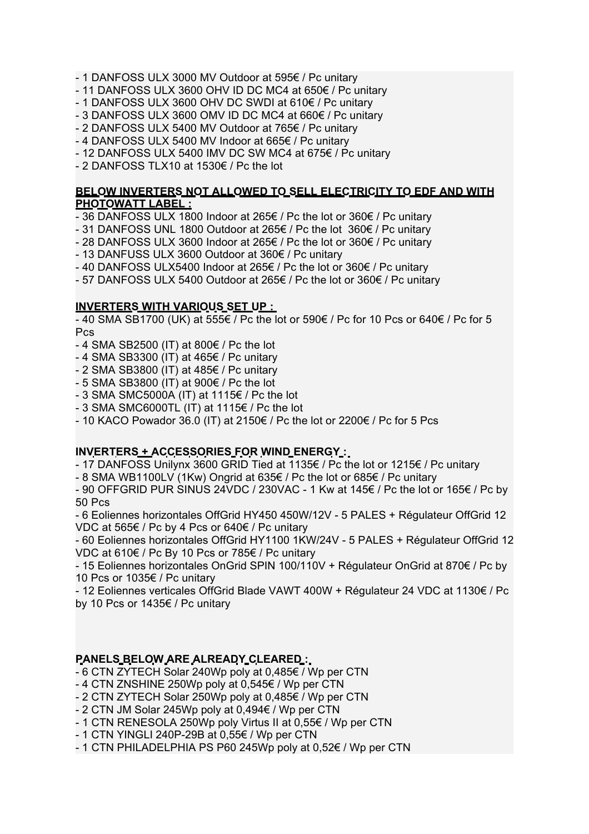- $-1$  DANFOSS ULX 3000 MV Outdoor at 595 $\epsilon$  / Pc unitary
- 11 DANFOSS ULX 3600 OHV ID DC MC4 at 650 $\varepsilon$  / Pc unitary
- 1 DANFOSS ULX 3600 OHV DC SWDI at  $610 \in /$  Pc unitary
- $-$  3 DANFOSS ULX 3600 OMV ID DC MC4 at 660 $\epsilon$  / Pc unitary
- 2 DANFOSS ULX 5400 MV Outdoor at  $765 \in /$  Pc unitary
- 4 DANFOSS ULX 5400 MV Indoor at  $665 \in /$  Pc unitary
- 12 DANFOSS ULX 5400 IMV DC SW MC4 at 675 $\epsilon$  / Pc unitary
- $-$  2 DANFOSS TLX10 at 1530 $\epsilon$  / Pc the lot

### **BELOW INVERTERS NOT ALLOWED TO SELL ELECTRICITY TO EDF AND WITH PHOTOWATT LABEL :**

- 36 DANFOSS ULX 1800 Indoor at 265 $\epsilon$  / Pc the lot or 360 $\epsilon$  / Pc unitary
- 31 DANFOSS UNL 1800 Outdoor at 265 $\epsilon$  / Pc the lot 360 $\epsilon$  / Pc unitary
- 28 DANFOSS ULX 3600 Indoor at 265 $\epsilon$  / Pc the lot or 360 $\epsilon$  / Pc unitary
- $-$  13 DANFUSS ULX 3600 Outdoor at 360 $\epsilon$  / Pc unitary
- 40 DANFOSS ULX5400 Indoor at 265 $\epsilon$  / Pc the lot or 360 $\epsilon$  / Pc unitary
- 57 DANFOSS ULX 5400 Outdoor at 265 $\epsilon$  / Pc the lot or 360 $\epsilon$  / Pc unitary

## **INVERTERS WITH VARIOUS SET UP :**

- 40 SMA SB1700 (UK) at 555 $\epsilon$  / Pc the lot or 590 $\epsilon$  / Pc for 10 Pcs or 640 $\epsilon$  / Pc for 5 Pcs

- $-4$  SMA SB2500 (IT) at 800 $\in$  / Pc the lot
- 4 SMA SB3300 (IT) at  $465 \in /$  Pc unitary
- $-2$  SMA SB3800 (IT) at 485 $\in$  / Pc unitary
- $-5$  SMA SB3800 (IT) at 900 $\in$  / Pc the lot
- $-3$  SMA SMC5000A (IT) at 1115 $\epsilon$  / Pc the lot
- $-3$  SMA SMC6000TL (IT) at 1115 $\epsilon$  / Pc the lot
- 10 KACO Powador 36.0 (IT) at 2150 $\epsilon$  / Pc the lot or 2200 $\epsilon$  / Pc for 5 Pcs

## **INVERTERS + ACCESSORIES FOR WIND ENERGY :**

- 17 DANFOSS Unilynx 3600 GRID Tied at 1135 $\epsilon$  / Pc the lot or 1215 $\epsilon$  / Pc unitary

- 8 SMA WB1100LV (1Kw) Ongrid at 635 $\epsilon$  / Pc the lot or 685 $\epsilon$  / Pc unitary

- 90 OFFGRID PUR SINUS 24VDC / 230VAC - 1 Kw at  $145 \epsilon$  / Pc the lot or  $165 \epsilon$  / Pc by 50 Pcs

- 6 Eoliennes horizontales OffGrid HY450 450W/12V - 5 PALES + Régulateur OffGrid 12 VDC at 565€ / Pc by 4 Pcs or 640€ / Pc unitary

- 60 Eoliennes horizontales OffGrid HY1100 1KW/24V - 5 PALES + Régulateur OffGrid 12 VDC at 610€ / Pc By 10 Pcs or 785€ / Pc unitary

- 15 Eoliennes horizontales OnGrid SPIN 100/110V + Régulateur OnGrid at 870 $\epsilon$  / Pc by 10 Pcs or 1035 $\epsilon$  / Pc unitary

 $-$  12 Eoliennes verticales OffGrid Blade VAWT 400W + Régulateur 24 VDC at 1130 $\epsilon$  / Pc by 10 Pcs or  $1435 \in$  / Pc unitary

## PANELS BELOW ARE ALREADY CLEARED :

 $-6$  CTN ZYTECH Solar 240Wp poly at 0,485 $\epsilon$  / Wp per CTN

- $-4$  CTN ZNSHINE 250Wp poly at 0,545 $\epsilon$  / Wp per CTN
- $-2$  CTN ZYTECH Solar 250Wp poly at 0,485 $\epsilon$  / Wp per CTN
- $-2$  CTN JM Solar 245Wp poly at 0,494 $\epsilon$  / Wp per CTN
- $-1$  CTN RENESOLA 250Wp poly Virtus II at 0,55 $\epsilon$  / Wp per CTN
- $-$  1 CTN YINGLI 240P-29B at 0,55 $\in$  / Wp per CTN
- $-1$  CTN PHILADELPHIA PS P60 245Wp poly at 0.52 $\epsilon$  / Wp per CTN